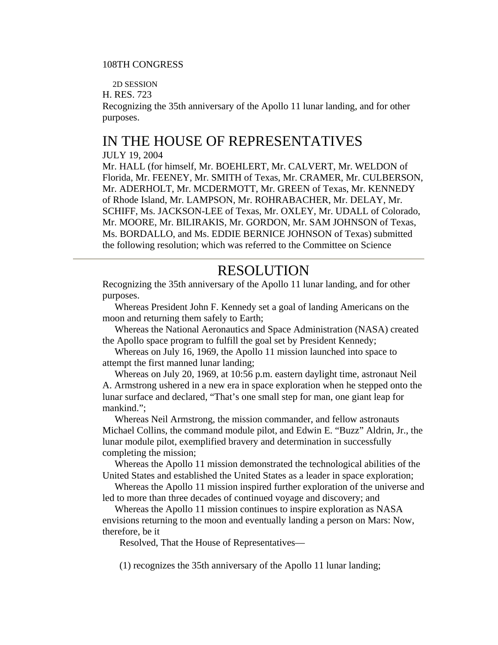## 108TH CONGRESS

2D SESSION

H. RES. 723

Recognizing the 35th anniversary of the Apollo 11 lunar landing, and for other purposes.

## IN THE HOUSE OF REPRESENTATIVES

## JULY 19, 2004

Mr. HALL (for himself, Mr. BOEHLERT, Mr. CALVERT, Mr. WELDON of Florida, Mr. FEENEY, Mr. SMITH of Texas, Mr. CRAMER, Mr. CULBERSON, Mr. ADERHOLT, Mr. MCDERMOTT, Mr. GREEN of Texas, Mr. KENNEDY of Rhode Island, Mr. LAMPSON, Mr. ROHRABACHER, Mr. DELAY, Mr. SCHIFF, Ms. JACKSON-LEE of Texas, Mr. OXLEY, Mr. UDALL of Colorado, Mr. MOORE, Mr. BILIRAKIS, Mr. GORDON, Mr. SAM JOHNSON of Texas, Ms. BORDALLO, and Ms. EDDIE BERNICE JOHNSON of Texas) submitted the following resolution; which was referred to the Committee on Science

## RESOLUTION

Recognizing the 35th anniversary of the Apollo 11 lunar landing, and for other purposes.

 Whereas President John F. Kennedy set a goal of landing Americans on the moon and returning them safely to Earth;

 Whereas the National Aeronautics and Space Administration (NASA) created the Apollo space program to fulfill the goal set by President Kennedy;

 Whereas on July 16, 1969, the Apollo 11 mission launched into space to attempt the first manned lunar landing;

 Whereas on July 20, 1969, at 10:56 p.m. eastern daylight time, astronaut Neil A. Armstrong ushered in a new era in space exploration when he stepped onto the lunar surface and declared, "That's one small step for man, one giant leap for mankind.";

 Whereas Neil Armstrong, the mission commander, and fellow astronauts Michael Collins, the command module pilot, and Edwin E. "Buzz" Aldrin, Jr., the lunar module pilot, exemplified bravery and determination in successfully completing the mission;

 Whereas the Apollo 11 mission demonstrated the technological abilities of the United States and established the United States as a leader in space exploration;

 Whereas the Apollo 11 mission inspired further exploration of the universe and led to more than three decades of continued voyage and discovery; and

 Whereas the Apollo 11 mission continues to inspire exploration as NASA envisions returning to the moon and eventually landing a person on Mars: Now, therefore, be it

Resolved, That the House of Representatives—

(1) recognizes the 35th anniversary of the Apollo 11 lunar landing;